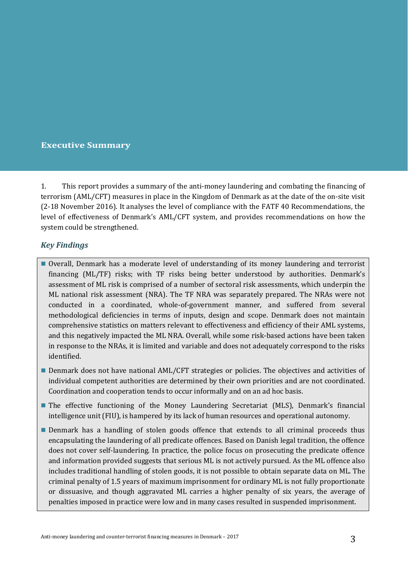## **Executive Summary**

1. This report provides a summary of the anti-money laundering and combating the financing of terrorism (AML/CFT) measures in place in the Kingdom of Denmark as at the date of the on-site visit (2-18 November 2016). It analyses the level of compliance with the FATF 40 Recommendations, the level of effectiveness of Denmark's AML/CFT system, and provides recommendations on how the system could be strengthened.

# *Key Findings*

- Overall, Denmark has a moderate level of understanding of its money laundering and terrorist financing (ML/TF) risks; with TF risks being better understood by authorities. Denmark's assessment of ML risk is comprised of a number of sectoral risk assessments, which underpin the ML national risk assessment (NRA). The TF NRA was separately prepared. The NRAs were not conducted in a coordinated, whole-of-government manner, and suffered from several methodological deficiencies in terms of inputs, design and scope. Denmark does not maintain comprehensive statistics on matters relevant to effectiveness and efficiency of their AML systems, and this negatively impacted the ML NRA. Overall, while some risk-based actions have been taken in response to the NRAs, it is limited and variable and does not adequately correspond to the risks identified.
- **Denmark does not have national AML/CFT strategies or policies. The objectives and activities of** individual competent authorities are determined by their own priorities and are not coordinated. Coordination and cooperation tends to occur informally and on an ad hoc basis.
- **The effective functioning of the Money Laundering Secretariat (MLS), Denmark's financial** intelligence unit (FIU), is hampered by its lack of human resources and operational autonomy.
- **Denmark has a handling of stolen goods offence that extends to all criminal proceeds thus** encapsulating the laundering of all predicate offences. Based on Danish legal tradition, the offence does not cover self-laundering. In practice, the police focus on prosecuting the predicate offence and information provided suggests that serious ML is not actively pursued. As the ML offence also includes traditional handling of stolen goods, it is not possible to obtain separate data on ML. The criminal penalty of 1.5 years of maximum imprisonment for ordinary ML is not fully proportionate or dissuasive, and though aggravated ML carries a higher penalty of six years, the average of penalties imposed in practice were low and in many cases resulted in suspended imprisonment.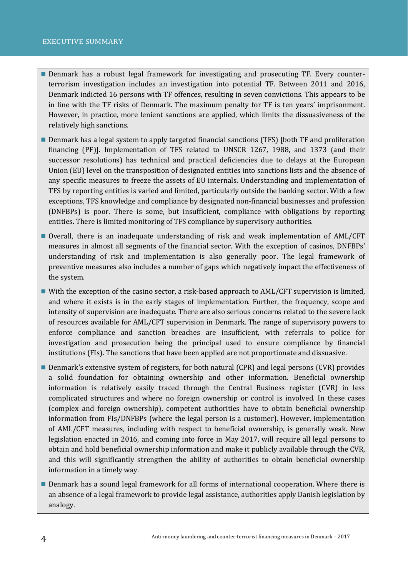- Denmark has a robust legal framework for investigating and prosecuting TF. Every counterterrorism investigation includes an investigation into potential TF. Between 2011 and 2016, Denmark indicted 16 persons with TF offences, resulting in seven convictions. This appears to be in line with the TF risks of Denmark. The maximum penalty for TF is ten years' imprisonment. However, in practice, more lenient sanctions are applied, which limits the dissuasiveness of the relatively high sanctions.
- **Denmark has a legal system to apply targeted financial sanctions (TFS) [both TF and proliferation** financing (PF)]. Implementation of TFS related to UNSCR 1267, 1988, and 1373 (and their successor resolutions) has technical and practical deficiencies due to delays at the European Union (EU) level on the transposition of designated entities into sanctions lists and the absence of any specific measures to freeze the assets of EU internals. Understanding and implementation of TFS by reporting entities is varied and limited, particularly outside the banking sector. With a few exceptions, TFS knowledge and compliance by designated non-financial businesses and profession (DNFBPs) is poor. There is some, but insufficient, compliance with obligations by reporting entities. There is limited monitoring of TFS compliance by supervisory authorities.
- Overall, there is an inadequate understanding of risk and weak implementation of AML/CFT measures in almost all segments of the financial sector. With the exception of casinos, DNFBPs' understanding of risk and implementation is also generally poor. The legal framework of preventive measures also includes a number of gaps which negatively impact the effectiveness of the system.
- With the exception of the casino sector, a risk-based approach to AML/CFT supervision is limited, and where it exists is in the early stages of implementation. Further, the frequency, scope and intensity of supervision are inadequate. There are also serious concerns related to the severe lack of resources available for AML/CFT supervision in Denmark. The range of supervisory powers to enforce compliance and sanction breaches are insufficient, with referrals to police for investigation and prosecution being the principal used to ensure compliance by financial institutions (FIs). The sanctions that have been applied are not proportionate and dissuasive.
- Denmark's extensive system of registers, for both natural (CPR) and legal persons (CVR) provides a solid foundation for obtaining ownership and other information. Beneficial ownership information is relatively easily traced through the Central Business register (CVR) in less complicated structures and where no foreign ownership or control is involved. In these cases (complex and foreign ownership), competent authorities have to obtain beneficial ownership information from FIs/DNFBPs (where the legal person is a customer). However, implementation of AML/CFT measures, including with respect to beneficial ownership, is generally weak. New legislation enacted in 2016, and coming into force in May 2017, will require all legal persons to obtain and hold beneficial ownership information and make it publicly available through the CVR, and this will significantly strengthen the ability of authorities to obtain beneficial ownership information in a timely way.
- **Denmark has a sound legal framework for all forms of international cooperation. Where there is** an absence of a legal framework to provide legal assistance, authorities apply Danish legislation by analogy.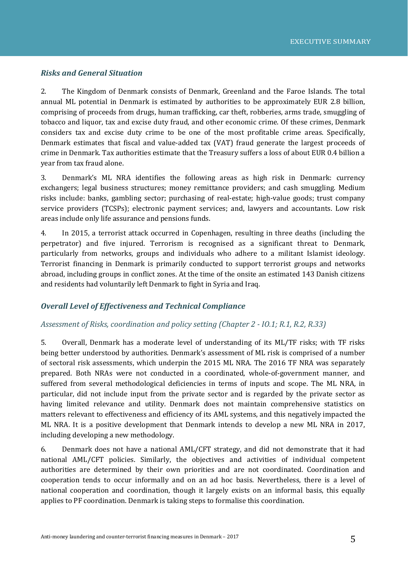#### *Risks and General Situation*

2. The Kingdom of Denmark consists of Denmark, Greenland and the Faroe Islands. The total annual ML potential in Denmark is estimated by authorities to be approximately EUR 2.8 billion, comprising of proceeds from drugs, human trafficking, car theft, robberies, arms trade, smuggling of tobacco and liquor, tax and excise duty fraud, and other economic crime. Of these crimes, Denmark considers tax and excise duty crime to be one of the most profitable crime areas. Specifically, Denmark estimates that fiscal and value-added tax (VAT) fraud generate the largest proceeds of crime in Denmark. Tax authorities estimate that the Treasury suffers a loss of about EUR 0.4 billion a year from tax fraud alone.

3. Denmark's ML NRA identifies the following areas as high risk in Denmark: currency exchangers; legal business structures; money remittance providers; and cash smuggling. Medium risks include: banks, gambling sector; purchasing of real-estate; high-value goods; trust company service providers (TCSPs); electronic payment services; and, lawyers and accountants. Low risk areas include only life assurance and pensions funds.

4. In 2015, a terrorist attack occurred in Copenhagen, resulting in three deaths (including the perpetrator) and five injured. Terrorism is recognised as a significant threat to Denmark, particularly from networks, groups and individuals who adhere to a militant Islamist ideology. Terrorist financing in Denmark is primarily conducted to support terrorist groups and networks abroad, including groups in conflict zones. At the time of the onsite an estimated 143 Danish citizens and residents had voluntarily left Denmark to fight in Syria and Iraq.

#### *Overall Level of Effectiveness and Technical Compliance*

#### *Assessment of Risks, coordination and policy setting (Chapter 2 - IO.1; R.1, R.2, R.33)*

5. Overall, Denmark has a moderate level of understanding of its ML/TF risks; with TF risks being better understood by authorities. Denmark's assessment of ML risk is comprised of a number of sectoral risk assessments, which underpin the 2015 ML NRA. The 2016 TF NRA was separately prepared. Both NRAs were not conducted in a coordinated, whole-of-government manner, and suffered from several methodological deficiencies in terms of inputs and scope. The ML NRA, in particular, did not include input from the private sector and is regarded by the private sector as having limited relevance and utility. Denmark does not maintain comprehensive statistics on matters relevant to effectiveness and efficiency of its AML systems, and this negatively impacted the ML NRA. It is a positive development that Denmark intends to develop a new ML NRA in 2017, including developing a new methodology.

6. Denmark does not have a national AML/CFT strategy, and did not demonstrate that it had national AML/CFT policies. Similarly, the objectives and activities of individual competent authorities are determined by their own priorities and are not coordinated. Coordination and cooperation tends to occur informally and on an ad hoc basis. Nevertheless, there is a level of national cooperation and coordination, though it largely exists on an informal basis, this equally applies to PF coordination. Denmark is taking steps to formalise this coordination.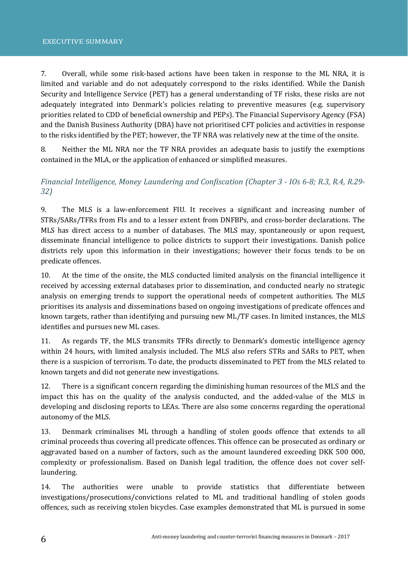7. Overall, while some risk-based actions have been taken in response to the ML NRA, it is limited and variable and do not adequately correspond to the risks identified. While the Danish Security and Intelligence Service (PET) has a general understanding of TF risks, these risks are not adequately integrated into Denmark's policies relating to preventive measures (e.g. supervisory priorities related to CDD of beneficial ownership and PEPs). The Financial Supervisory Agency (FSA) and the Danish Business Authority (DBA) have not prioritised CFT policies and activities in response to the risks identified by the PET; however, the TF NRA was relatively new at the time of the onsite.

8. Neither the ML NRA nor the TF NRA provides an adequate basis to justify the exemptions contained in the MLA, or the application of enhanced or simplified measures.

# *Financial Intelligence, Money Laundering and Confiscation (Chapter 3 - IOs 6-8; R.3, R.4, R.29- 32)*

9. The MLS is a law-enforcement FIU. It receives a significant and increasing number of STRs/SARs/TFRs from FIs and to a lesser extent from DNFBPs, and cross-border declarations. The MLS has direct access to a number of databases. The MLS may, spontaneously or upon request, disseminate financial intelligence to police districts to support their investigations. Danish police districts rely upon this information in their investigations; however their focus tends to be on predicate offences.

10. At the time of the onsite, the MLS conducted limited analysis on the financial intelligence it received by accessing external databases prior to dissemination, and conducted nearly no strategic analysis on emerging trends to support the operational needs of competent authorities. The MLS prioritises its analysis and disseminations based on ongoing investigations of predicate offences and known targets, rather than identifying and pursuing new ML/TF cases. In limited instances, the MLS identifies and pursues new ML cases.

11. As regards TF, the MLS transmits TFRs directly to Denmark's domestic intelligence agency within 24 hours, with limited analysis included. The MLS also refers STRs and SARs to PET, when there is a suspicion of terrorism. To date, the products disseminated to PET from the MLS related to known targets and did not generate new investigations.

12. There is a significant concern regarding the diminishing human resources of the MLS and the impact this has on the quality of the analysis conducted, and the added-value of the MLS in developing and disclosing reports to LEAs. There are also some concerns regarding the operational autonomy of the MLS.

13. Denmark criminalises ML through a handling of stolen goods offence that extends to all criminal proceeds thus covering all predicate offences. This offence can be prosecuted as ordinary or aggravated based on a number of factors, such as the amount laundered exceeding DKK 500 000, complexity or professionalism. Based on Danish legal tradition, the offence does not cover selflaundering.

14. The authorities were unable to provide statistics that differentiate between investigations/prosecutions/convictions related to ML and traditional handling of stolen goods offences, such as receiving stolen bicycles. Case examples demonstrated that ML is pursued in some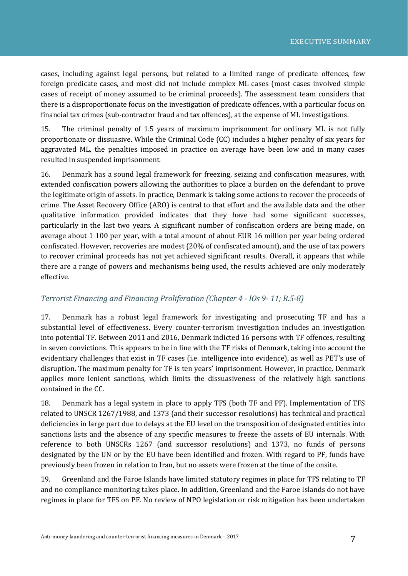cases, including against legal persons, but related to a limited range of predicate offences, few foreign predicate cases, and most did not include complex ML cases (most cases involved simple cases of receipt of money assumed to be criminal proceeds). The assessment team considers that there is a disproportionate focus on the investigation of predicate offences, with a particular focus on financial tax crimes (sub-contractor fraud and tax offences), at the expense of ML investigations.

15. The criminal penalty of 1.5 years of maximum imprisonment for ordinary ML is not fully proportionate or dissuasive. While the Criminal Code (CC) includes a higher penalty of six years for aggravated ML, the penalties imposed in practice on average have been low and in many cases resulted in suspended imprisonment.

16. Denmark has a sound legal framework for freezing, seizing and confiscation measures, with extended confiscation powers allowing the authorities to place a burden on the defendant to prove the legitimate origin of assets. In practice, Denmark is taking some actions to recover the proceeds of crime. The Asset Recovery Office (ARO) is central to that effort and the available data and the other qualitative information provided indicates that they have had some significant successes, particularly in the last two years. A significant number of confiscation orders are being made, on average about 1 100 per year, with a total amount of about EUR 16 million per year being ordered confiscated. However, recoveries are modest (20% of confiscated amount), and the use of tax powers to recover criminal proceeds has not yet achieved significant results. Overall, it appears that while there are a range of powers and mechanisms being used, the results achieved are only moderately effective.

## *Terrorist Financing and Financing Proliferation (Chapter 4 - IOs 9- 11; R.5-8)*

17. Denmark has a robust legal framework for investigating and prosecuting TF and has a substantial level of effectiveness. Every counter-terrorism investigation includes an investigation into potential TF. Between 2011 and 2016, Denmark indicted 16 persons with TF offences, resulting in seven convictions. This appears to be in line with the TF risks of Denmark, taking into account the evidentiary challenges that exist in TF cases (i.e. intelligence into evidence), as well as PET's use of disruption. The maximum penalty for TF is ten years' imprisonment. However, in practice, Denmark applies more lenient sanctions, which limits the dissuasiveness of the relatively high sanctions contained in the CC.

18. Denmark has a legal system in place to apply TFS (both TF and PF). Implementation of TFS related to UNSCR 1267/1988, and 1373 (and their successor resolutions) has technical and practical deficiencies in large part due to delays at the EU level on the transposition of designated entities into sanctions lists and the absence of any specific measures to freeze the assets of EU internals. With reference to both UNSCRs 1267 (and successor resolutions) and 1373, no funds of persons designated by the UN or by the EU have been identified and frozen. With regard to PF, funds have previously been frozen in relation to Iran, but no assets were frozen at the time of the onsite.

19. Greenland and the Faroe Islands have limited statutory regimes in place for TFS relating to TF and no compliance monitoring takes place. In addition, Greenland and the Faroe Islands do not have regimes in place for TFS on PF. No review of NPO legislation or risk mitigation has been undertaken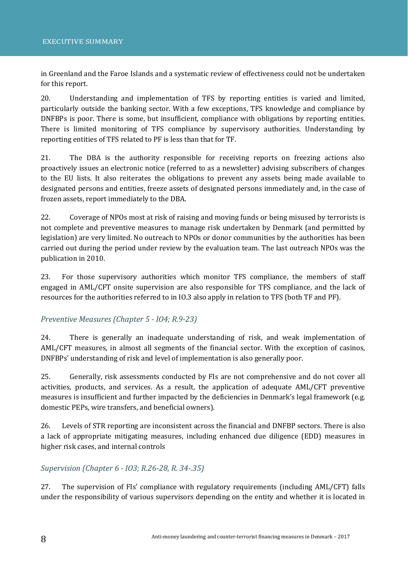in Greenland and the Faroe Islands and a systematic review of effectiveness could not be undertaken for this report.

20. Understanding and implementation of TFS by reporting entities is varied and limited, particularly outside the banking sector. With a few exceptions, TFS knowledge and compliance by DNFBPs is poor. There is some, but insufficient, compliance with obligations by reporting entities. There is limited monitoring of TFS compliance by supervisory authorities. Understanding by reporting entities of TFS related to PF is less than that for TF.

21. The DBA is the authority responsible for receiving reports on freezing actions also proactively issues an electronic notice (referred to as a newsletter) advising subscribers of changes to the EU lists. It also reiterates the obligations to prevent any assets being made available to designated persons and entities, freeze assets of designated persons immediately and, in the case of frozen assets, report immediately to the DBA.

22. Coverage of NPOs most at risk of raising and moving funds or being misused by terrorists is not complete and preventive measures to manage risk undertaken by Denmark (and permitted by legislation) are very limited. No outreach to NPOs or donor communities by the authorities has been carried out during the period under review by the evaluation team. The last outreach NPOs was the publication in 2010.

23. For those supervisory authorities which monitor TFS compliance, the members of staff engaged in AML/CFT onsite supervision are also responsible for TFS compliance, and the lack of resources for the authorities referred to in IO.3 also apply in relation to TFS (both TF and PF).

## *Preventive Measures (Chapter 5 - IO4; R.9-23)*

24. There is generally an inadequate understanding of risk, and weak implementation of AML/CFT measures, in almost all segments of the financial sector. With the exception of casinos, DNFBPs' understanding of risk and level of implementation is also generally poor.

25. Generally, risk assessments conducted by FIs are not comprehensive and do not cover all activities, products, and services. As a result, the application of adequate AML/CFT preventive measures is insufficient and further impacted by the deficiencies in Denmark's legal framework (e.g. domestic PEPs, wire transfers, and beneficial owners).

26. Levels of STR reporting are inconsistent across the financial and DNFBP sectors. There is also a lack of appropriate mitigating measures, including enhanced due diligence (EDD) measures in higher risk cases, and internal controls

#### *Supervision (Chapter 6 - IO3; R.26-28, R. 34-.35)*

27. The supervision of FIs' compliance with regulatory requirements (including AML/CFT) falls under the responsibility of various supervisors depending on the entity and whether it is located in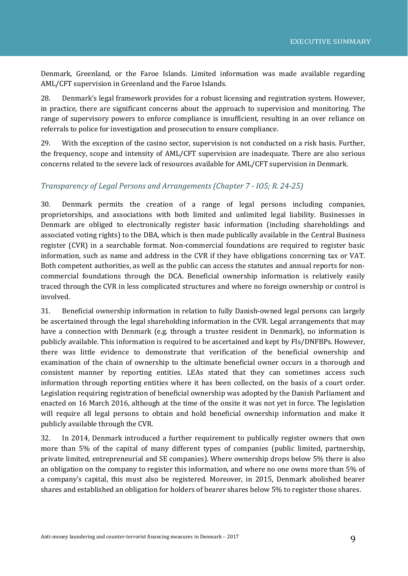Denmark, Greenland, or the Faroe Islands. Limited information was made available regarding AML/CFT supervision in Greenland and the Faroe Islands.

28. Denmark's legal framework provides for a robust licensing and registration system. However, in practice, there are significant concerns about the approach to supervision and monitoring. The range of supervisory powers to enforce compliance is insufficient, resulting in an over reliance on referrals to police for investigation and prosecution to ensure compliance.

29. With the exception of the casino sector, supervision is not conducted on a risk basis. Further, the frequency, scope and intensity of AML/CFT supervision are inadequate. There are also serious concerns related to the severe lack of resources available for AML/CFT supervision in Denmark.

#### *Transparency of Legal Persons and Arrangements (Chapter 7 - IO5; R. 24-25)*

30. Denmark permits the creation of a range of legal persons including companies, proprietorships, and associations with both limited and unlimited legal liability. Businesses in Denmark are obliged to electronically register basic information (including shareholdings and associated voting rights) to the DBA, which is then made publically available in the Central Business register (CVR) in a searchable format. Non-commercial foundations are required to register basic information, such as name and address in the CVR if they have obligations concerning tax or VAT. Both competent authorities, as well as the public can access the statutes and annual reports for noncommercial foundations through the DCA. Beneficial ownership information is relatively easily traced through the CVR in less complicated structures and where no foreign ownership or control is involved.

31. Beneficial ownership information in relation to fully Danish-owned legal persons can largely be ascertained through the legal shareholding information in the CVR. Legal arrangements that may have a connection with Denmark (e.g. through a trustee resident in Denmark), no information is publicly available. This information is required to be ascertained and kept by FIs/DNFBPs. However, there was little evidence to demonstrate that verification of the beneficial ownership and examination of the chain of ownership to the ultimate beneficial owner occurs in a thorough and consistent manner by reporting entities. LEAs stated that they can sometimes access such information through reporting entities where it has been collected, on the basis of a court order. Legislation requiring registration of beneficial ownership was adopted by the Danish Parliament and enacted on 16 March 2016, although at the time of the onsite it was not yet in force. The legislation will require all legal persons to obtain and hold beneficial ownership information and make it publicly available through the CVR.

32. In 2014, Denmark introduced a further requirement to publically register owners that own more than 5% of the capital of many different types of companies (public limited, partnership, private limited, entrepreneurial and SE companies). Where ownership drops below 5% there is also an obligation on the company to register this information, and where no one owns more than 5% of a company's capital, this must also be registered. Moreover, in 2015, Denmark abolished bearer shares and established an obligation for holders of bearer shares below 5% to register those shares.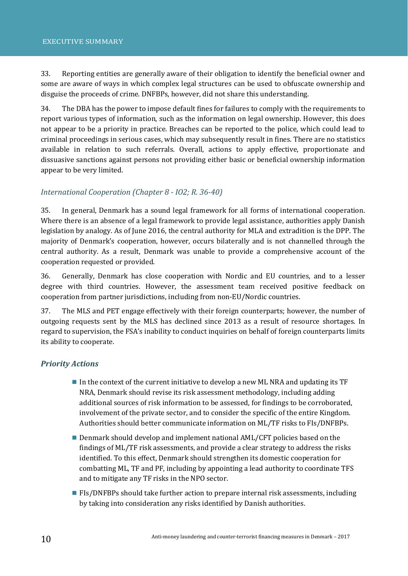33. Reporting entities are generally aware of their obligation to identify the beneficial owner and some are aware of ways in which complex legal structures can be used to obfuscate ownership and disguise the proceeds of crime. DNFBPs, however, did not share this understanding.

34. The DBA has the power to impose default fines for failures to comply with the requirements to report various types of information, such as the information on legal ownership. However, this does not appear to be a priority in practice. Breaches can be reported to the police, which could lead to criminal proceedings in serious cases, which may subsequently result in fines. There are no statistics available in relation to such referrals. Overall, actions to apply effective, proportionate and dissuasive sanctions against persons not providing either basic or beneficial ownership information appear to be very limited.

# *International Cooperation (Chapter 8 - IO2; R. 36-40)*

35. In general, Denmark has a sound legal framework for all forms of international cooperation. Where there is an absence of a legal framework to provide legal assistance, authorities apply Danish legislation by analogy. As of June 2016, the central authority for MLA and extradition is the DPP. The majority of Denmark's cooperation, however, occurs bilaterally and is not channelled through the central authority. As a result, Denmark was unable to provide a comprehensive account of the cooperation requested or provided.

36. Generally, Denmark has close cooperation with Nordic and EU countries, and to a lesser degree with third countries. However, the assessment team received positive feedback on cooperation from partner jurisdictions, including from non-EU/Nordic countries.

37. The MLS and PET engage effectively with their foreign counterparts; however, the number of outgoing requests sent by the MLS has declined since 2013 as a result of resource shortages. In regard to supervision, the FSA's inability to conduct inquiries on behalf of foreign counterparts limits its ability to cooperate.

## *Priority Actions*

- In the context of the current initiative to develop a new ML NRA and updating its TF NRA, Denmark should revise its risk assessment methodology, including adding additional sources of risk information to be assessed, for findings to be corroborated, involvement of the private sector, and to consider the specific of the entire Kingdom. Authorities should better communicate information on ML/TF risks to FIs/DNFBPs.
- **Denmark should develop and implement national AML/CFT policies based on the** findings of ML/TF risk assessments, and provide a clear strategy to address the risks identified. To this effect, Denmark should strengthen its domestic cooperation for combatting ML, TF and PF, including by appointing a lead authority to coordinate TFS and to mitigate any TF risks in the NPO sector.
- **FIS/DNFBPs should take further action to prepare internal risk assessments, including** by taking into consideration any risks identified by Danish authorities.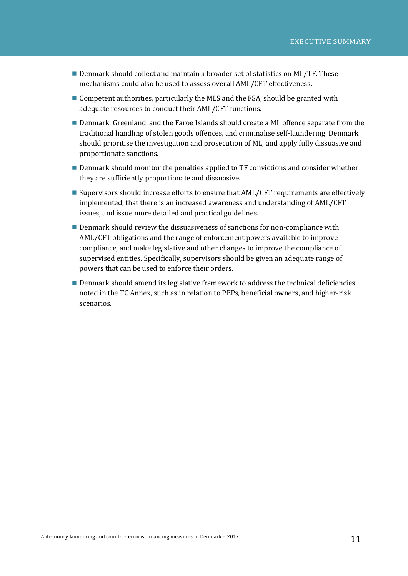- Denmark should collect and maintain a broader set of statistics on ML/TF. These mechanisms could also be used to assess overall AML/CFT effectiveness.
- **Competent authorities, particularly the MLS and the FSA, should be granted with** adequate resources to conduct their AML/CFT functions.
- **Denmark, Greenland, and the Faroe Islands should create a ML offence separate from the** traditional handling of stolen goods offences, and criminalise self-laundering. Denmark should prioritise the investigation and prosecution of ML, and apply fully dissuasive and proportionate sanctions.
- Denmark should monitor the penalties applied to TF convictions and consider whether they are sufficiently proportionate and dissuasive.
- Supervisors should increase efforts to ensure that AML/CFT requirements are effectively implemented, that there is an increased awareness and understanding of AML/CFT issues, and issue more detailed and practical guidelines.
- **Denmark should review the dissuasiveness of sanctions for non-compliance with** AML/CFT obligations and the range of enforcement powers available to improve compliance, and make legislative and other changes to improve the compliance of supervised entities. Specifically, supervisors should be given an adequate range of powers that can be used to enforce their orders.
- Denmark should amend its legislative framework to address the technical deficiencies noted in the TC Annex, such as in relation to PEPs, beneficial owners, and higher-risk scenarios.